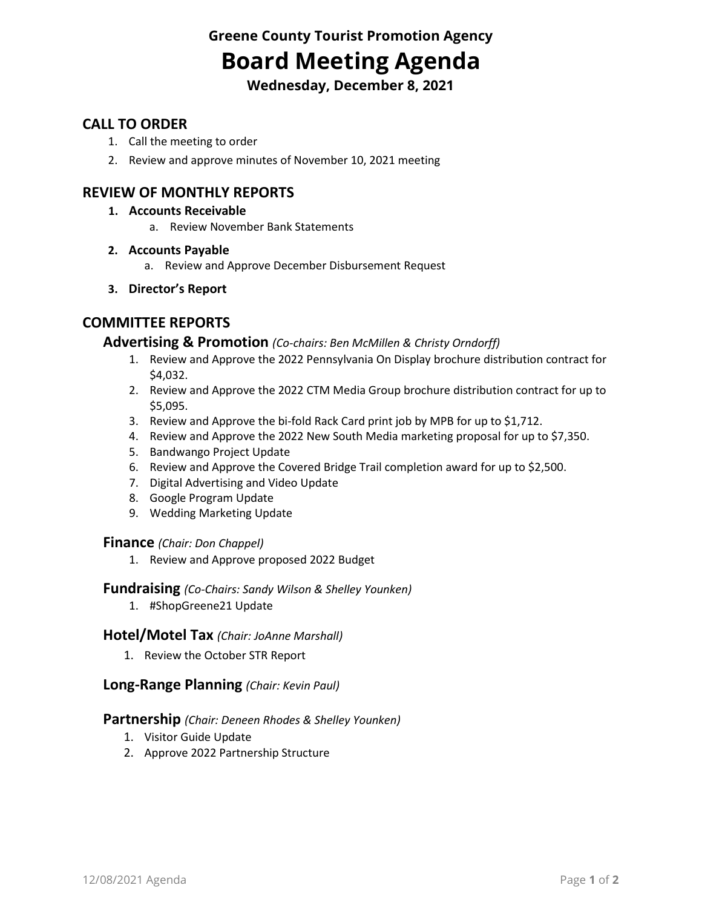**Greene County Tourist Promotion Agency Board Meeting Agenda**

**Wednesday, December 8, 2021**

## **CALL TO ORDER**

- 1. Call the meeting to order
- 2. Review and approve minutes of November 10, 2021 meeting

## **REVIEW OF MONTHLY REPORTS**

- **1. Accounts Receivable**
	- a. Review November Bank Statements
- **2. Accounts Payable**
	- a. Review and Approve December Disbursement Request
- **3. Director's Report**

# **COMMITTEE REPORTS**

#### **Advertising & Promotion** *(Co-chairs: Ben McMillen & Christy Orndorff)*

- 1. Review and Approve the 2022 Pennsylvania On Display brochure distribution contract for \$4,032.
- 2. Review and Approve the 2022 CTM Media Group brochure distribution contract for up to \$5,095.
- 3. Review and Approve the bi-fold Rack Card print job by MPB for up to \$1,712.
- 4. Review and Approve the 2022 New South Media marketing proposal for up to \$7,350.
- 5. Bandwango Project Update
- 6. Review and Approve the Covered Bridge Trail completion award for up to \$2,500.
- 7. Digital Advertising and Video Update
- 8. Google Program Update
- 9. Wedding Marketing Update

#### **Finance** *(Chair: Don Chappel)*

1. Review and Approve proposed 2022 Budget

#### **Fundraising** *(Co-Chairs: Sandy Wilson & Shelley Younken)*

1. #ShopGreene21 Update

### **Hotel/Motel Tax** *(Chair: JoAnne Marshall)*

1. Review the October STR Report

### **Long-Range Planning** *(Chair: Kevin Paul)*

### **Partnership** *(Chair: Deneen Rhodes & Shelley Younken)*

- 1. Visitor Guide Update
- 2. Approve 2022 Partnership Structure